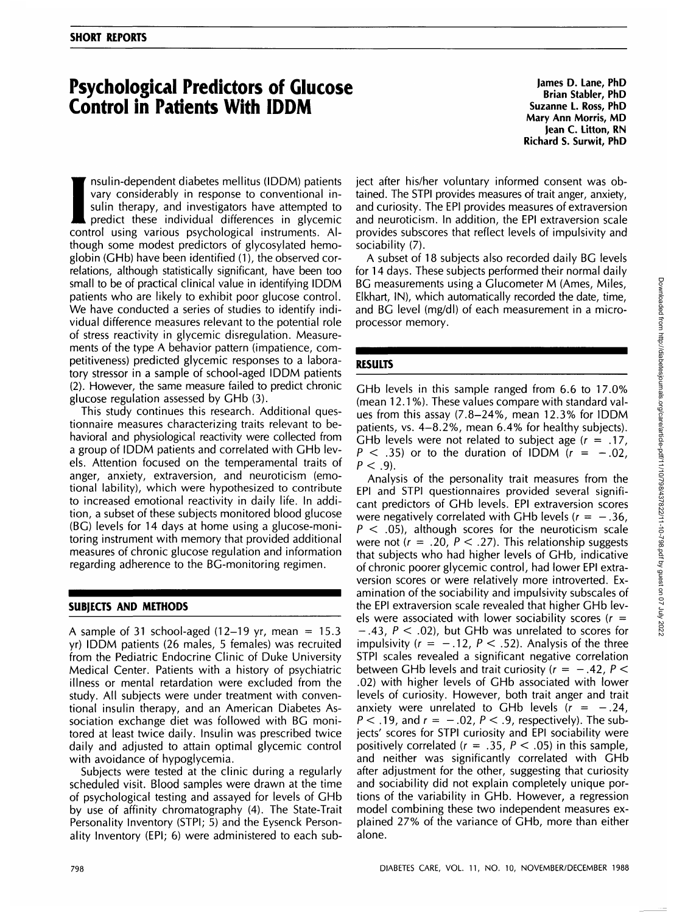# **Psychological Predictors of Glucose Control in Patients With IDDM**

**Con**<br> **I** as a sum<br>
pr<br>
contro<br>
though nsulin-dependent diabetes mellitus (IDDM) patients vary considerably in response to conventional insulin therapy, and investigators have attempted to predict these individual differences in glycemic control using various psychological instruments. Although some modest predictors of glycosylated hemoglobin (GHb) have been identified (1), the observed correlations, although statistically significant, have been too small to be of practical clinical value in identifying IDDM patients who are likely to exhibit poor glucose control. We have conducted a series of studies to identify individual difference measures relevant to the potential role of stress reactivity in glycemic disregulation. Measurements of the type A behavior pattern (impatience, competitiveness) predicted glycemic responses to a laboratory stressor in a sample of school-aged IDDM patients (2). However, the same measure failed to predict chronic glucose regulation assessed by GHb (3).

This study continues this research. Additional questionnaire measures characterizing traits relevant to behavioral and physiological reactivity were collected from a group of IDDM patients and correlated with GHb levels. Attention focused on the temperamental traits of anger, anxiety, extraversion, and neuroticism (emotional lability), which were hypothesized to contribute to increased emotional reactivity in daily life. In addition, a subset of these subjects monitored blood glucose (BG) levels for 14 days at home using a glucose-monitoring instrument with memory that provided additional measures of chronic glucose regulation and information regarding adherence to the BG-monitoring regimen.

### **SUBJECTS AND METHODS**

A sample of 31 school-aged  $(12-19 \text{ yr}, \text{mean} = 15.3)$ yr) IDDM patients (26 males, 5 females) was recruited from the Pediatric Endocrine Clinic of Duke University Medical Center. Patients with a history of psychiatric illness or mental retardation were excluded from the study. All subjects were under treatment with conventional insulin therapy, and an American Diabetes Association exchange diet was followed with BG monitored at least twice daily. Insulin was prescribed twice daily and adjusted to attain optimal glycemic control with avoidance of hypoglycemia.

Subjects were tested at the clinic during a regularly scheduled visit. Blood samples were drawn at the time of psychological testing and assayed for levels of GHb by use of affinity chromatography (4). The State-Trait Personality Inventory (STPI; 5) and the Eysenck Personality Inventory (EPI; 6) were administered to each sub-

**James D. Lane, PhD Brian Stabler, PhD Suzanne L. Ross, PhD Mary Ann Morris, MD Jean C. Litton, RN Richard S. Surwit, PhD**

ject after his/her voluntary informed consent was obtained. The STPI provides measures of trait anger, anxiety, and curiosity. The EPI provides measures of extraversion and neuroticism. In addition, the EPI extraversion scale provides subscores that reflect levels of impulsivity and sociability (7).

A subset of 18 subjects also recorded daily BG levels for 14 days. These subjects performed their normal daily BG measurements using a Glucometer M (Ames, Miles, Elkhart, IN), which automatically recorded the date, time, and BG level (mg/dl) of each measurement in a microprocessor memory.

### **RESULTS**

GHb levels in this sample ranged from 6.6 to 17.0% (mean 12.1%). These values compare with standard values from this assay (7.8-24%, mean 12.3% for IDDM patients, vs. 4-8.2%, mean 6.4% for healthy subjects). GHb levels were not related to subject age  $(r = .17)$ ,  $P \leq .35$ ) or to the duration of IDDM ( $r = -.02$ )  $P < .9$ ).

Analysis of the personality trait measures from the EPI and STPI questionnaires provided several significant predictors of GHb levels. EPI extraversion scores were negatively correlated with GHb levels ( $r = -.36$ ,  $P < .05$ ), although scores for the neuroticism scale were not ( $r = .20$ ,  $P < .27$ ). This relationship suggests that subjects who had higher levels of GHb, indicative of chronic poorer glycemic control, had lower EPI extraversion scores or were relatively more introverted. Examination of the sociability and impulsivity subscales of the EPI extraversion scale revealed that higher GHb levels were associated with lower sociability scores ( $r =$  $-0.43$ ,  $P < 0.02$ ), but GHb was unrelated to scores for impulsivity ( $r = -.12$ ,  $P < .52$ ). Analysis of the three STPI scales revealed a significant negative correlation between GHb levels and trait curiosity ( $r = -.42$ ,  $P <$ .02) with higher levels of GHb associated with lower levels of curiosity. However, both trait anger and trait anxiety were unrelated to GHb levels  $(r = -.24, )$  $P < .19$ , and  $r = -.02$ ,  $P < .9$ , respectively). The subjects' scores for STPI curiosity and EPI sociability were positively correlated ( $r = .35$ ,  $P < .05$ ) in this sample, and neither was significantly correlated with GHb after adjustment for the other, suggesting that curiosity and sociability did not explain completely unique portions of the variability in GHb. However, a regression model combining these two independent measures explained 27% of the variance of GHb, more than either alone.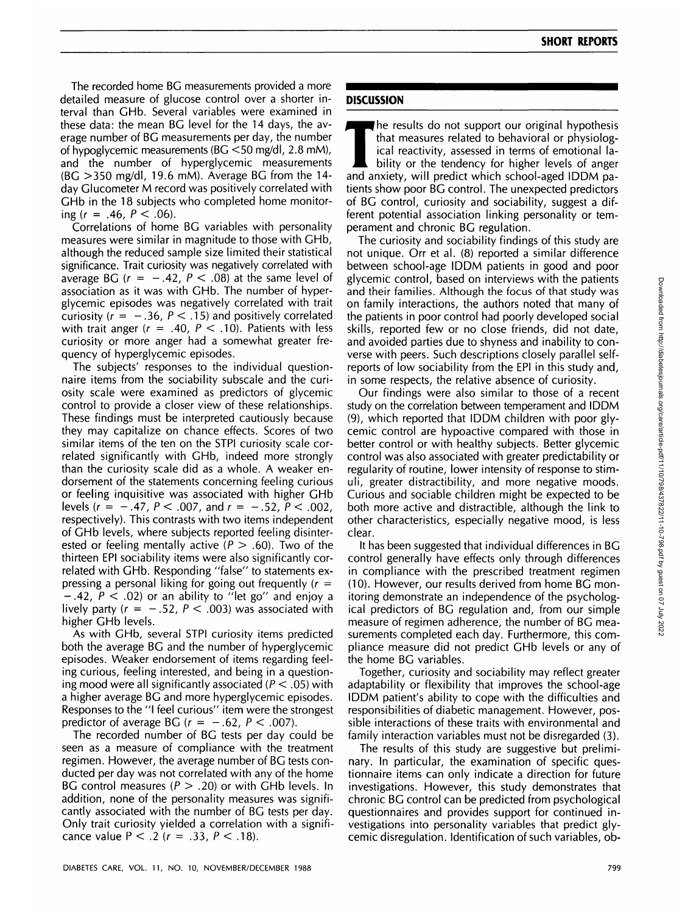The recorded home BG measurements provided a more detailed measure of glucose control over a shorter interval than GHb. Several variables were examined in these data: the mean BG level for the 14 days, the average number of BG measurements per day, the number of hypoglycemic measurements (BG <50 mg/dl, 2.8 mM), and the number of hyperglycemic measurements (BG >350 mg/dl, 19.6 mM). Average BG from the 14 day Glucometer M record was positively correlated with GHb in the 18 subjects who completed home monitoring  $(r = .46, P < .06)$ .

Correlations of home BG variables with personality measures were similar in magnitude to those with GHb, although the reduced sample size limited their statistical significance. Trait curiosity was negatively correlated with average BG  $(r = -.42, P < .08)$  at the same level of association as it was with GHb. The number of hyperglycemic episodes was negatively correlated with trait curiosity ( $r = -.36$ ,  $P < .15$ ) and positively correlated with trait anger ( $r = .40$ ,  $P < .10$ ). Patients with less curiosity or more anger had a somewhat greater frequency of hyperglycemic episodes.

The subjects' responses to the individual questionnaire items from the sociability subscale and the curiosity scale were examined as predictors of glycemic control to provide a closer view of these relationships. These findings must be interpreted cautiously because they may capitalize on chance effects. Scores of two similar items of the ten on the STPI curiosity scale correlated significantly with GHb, indeed more strongly than the curiosity scale did as a whole. A weaker endorsement of the statements concerning feeling curious or feeling inquisitive was associated with higher GHb levels ( $r = -.47$ ,  $P < .007$ , and  $r = -.52$ ,  $P < .002$ , respectively). This contrasts with two items independent of GHb levels, where subjects reported feeling disinterested or feeling mentally active ( $P > .60$ ). Two of the thirteen EPI sociability items were also significantly correlated with GHb. Responding "false" to statements expressing a personal liking for going out frequently  $(r =$  $-.42$ ,  $P < .02$ ) or an ability to "let go" and enjoy a lively party ( $r = -.52$ ,  $P < .003$ ) was associated with higher GHb levels.

As with GHb, several STPI curiosity items predicted both the average BG and the number of hyperglycemic episodes. Weaker endorsement of items regarding feeling curious, feeling interested, and being in a questioning mood were all significantly associated ( $P < .05$ ) with a higher average BG and more hyperglycemic episodes. Responses to the "I feel curious" item were the strongest predictor of average BG ( $r = -.62$ ,  $P < .007$ ).

The recorded number of BG tests per day could be seen as a measure of compliance with the treatment regimen. However, the average number of BG tests conducted per day was not correlated with any of the home BG control measures ( $P > .20$ ) or with GHb levels. In addition, none of the personality measures was significantly associated with the number of BG tests per day. Only trait curiosity yielded a correlation with a significance value  $P < .2$  ( $r = .33$ ,  $P < .18$ ).

## **DISCUSSION**

The results do not support our original hypothesis<br>that measures related to behavioral or physiolog-<br>ical reactivity, assessed in terms of emotional la-<br>bility or the tendency for higher levels of anger<br>and anxiety will pr that measures related to behavioral or physiological reactivity, assessed in terms of emotional laand anxiety, will predict which school-aged IDDM patients show poor BG control. The unexpected predictors of BG control, curiosity and sociability, suggest a different potential association linking personality or temperament and chronic BG regulation.

The curiosity and sociability findings of this study are not unique. Orr et al. (8) reported a similar difference between school-age IDDM patients in good and poor glycemic control, based on interviews with the patients and their families. Although the focus of that study was on family interactions, the authors noted that many of the patients in poor control had poorly developed social skills, reported few or no close friends, did not date, and avoided parties due to shyness and inability to converse with peers. Such descriptions closely parallel selfreports of low sociability from the EPI in this study and, in some respects, the relative absence of curiosity.

Our findings were also similar to those of a recent study on the correlation between temperament and IDDM (9), which reported that IDDM children with poor glycemic control are hypoactive compared with those in better control or with healthy subjects. Better glycemic control was also associated with greater predictability or regularity of routine, lower intensity of response to stimuli, greater distractibility, and more negative moods. Curious and sociable children might be expected to be both more active and distractible, although the link to other characteristics, especially negative mood, is less clear.

It has been suggested that individual differences in BG control generally have effects only through differences in compliance with the prescribed treatment regimen (10). However, our results derived from home BG monitoring demonstrate an independence of the psychological predictors of BG regulation and, from our simple measure of regimen adherence, the number of BG measurements completed each day. Furthermore, this compliance measure did not predict GHb levels or any of the home BG variables.

Together, curiosity and sociability may reflect greater adaptability or flexibility that improves the school-age IDDM patient's ability to cope with the difficulties and responsibilities of diabetic management. However, possible interactions of these traits with environmental and family interaction variables must not be disregarded (3).

The results of this study are suggestive but preliminary. In particular, the examination of specific questionnaire items can only indicate a direction for future investigations. However, this study demonstrates that chronic BG control can be predicted from psychological questionnaires and provides support for continued investigations into personality variables that predict glycemic disregulation. Identification of such variables, ob-